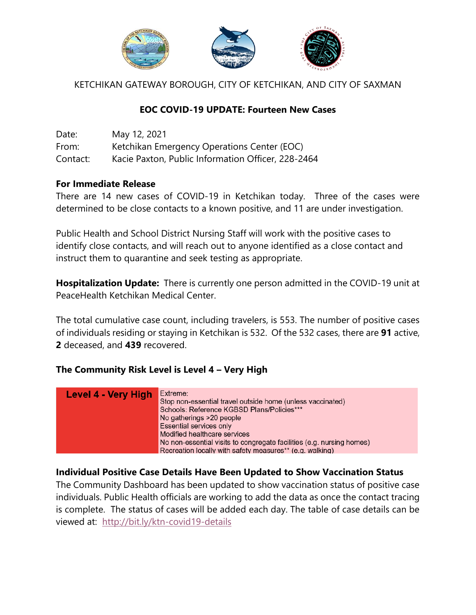

KETCHIKAN GATEWAY BOROUGH, CITY OF KETCHIKAN, AND CITY OF SAXMAN

## **EOC COVID-19 UPDATE: Fourteen New Cases**

| Date:    | May 12, 2021                                       |
|----------|----------------------------------------------------|
| From:    | Ketchikan Emergency Operations Center (EOC)        |
| Contact: | Kacie Paxton, Public Information Officer, 228-2464 |

#### **For Immediate Release**

There are 14 new cases of COVID-19 in Ketchikan today. Three of the cases were determined to be close contacts to a known positive, and 11 are under investigation.

Public Health and School District Nursing Staff will work with the positive cases to identify close contacts, and will reach out to anyone identified as a close contact and instruct them to quarantine and seek testing as appropriate.

**Hospitalization Update:** There is currently one person admitted in the COVID-19 unit at PeaceHealth Ketchikan Medical Center.

The total cumulative case count, including travelers, is 553. The number of positive cases of individuals residing or staying in Ketchikan is 532. Of the 532 cases, there are **91** active, **2** deceased, and **439** recovered.

### **The Community Risk Level is Level 4 – Very High**



### **Individual Positive Case Details Have Been Updated to Show Vaccination Status**

The Community Dashboard has been updated to show vaccination status of positive case individuals. Public Health officials are working to add the data as once the contact tracing is complete. The status of cases will be added each day. The table of case details can be viewed at: <http://bit.ly/ktn-covid19-details>